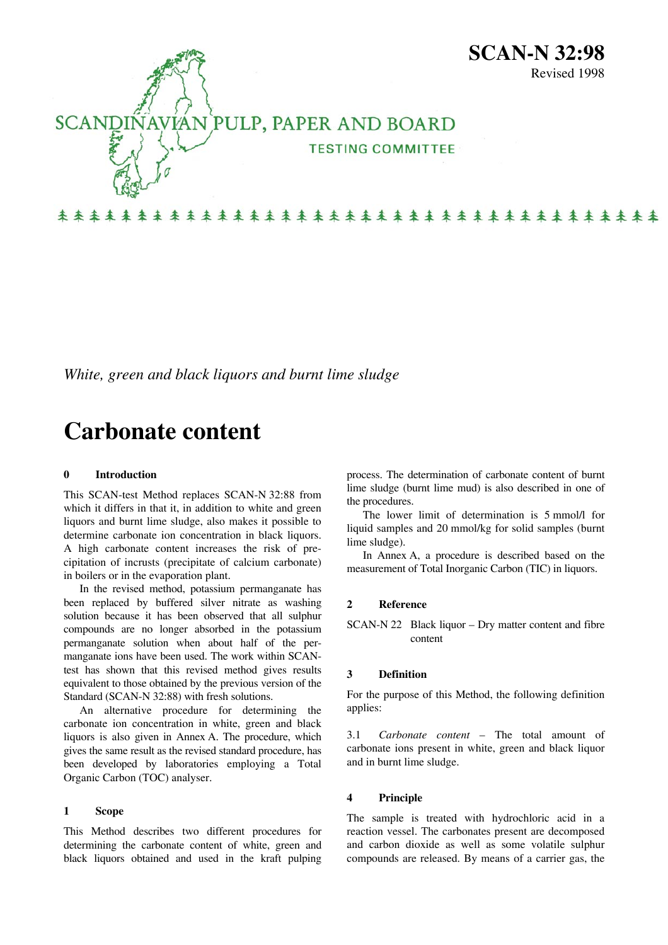

# 来来来来来来来来来来来来来来来来来来来来来来来来来来来来来来来来来来

*White, green and black liquors and burnt lime sludge* 

# **Carbonate content**

# **0 Introduction**

This SCAN-test Method replaces SCAN-N 32:88 from which it differs in that it, in addition to white and green liquors and burnt lime sludge, also makes it possible to determine carbonate ion concentration in black liquors. A high carbonate content increases the risk of precipitation of incrusts (precipitate of calcium carbonate) in boilers or in the evaporation plant.

In the revised method, potassium permanganate has been replaced by buffered silver nitrate as washing solution because it has been observed that all sulphur compounds are no longer absorbed in the potassium permanganate solution when about half of the permanganate ions have been used. The work within SCANtest has shown that this revised method gives results equivalent to those obtained by the previous version of the Standard (SCAN-N 32:88) with fresh solutions.

An alternative procedure for determining the carbonate ion concentration in white, green and black liquors is also given in Annex A. The procedure, which gives the same result as the revised standard procedure, has been developed by laboratories employing a Total Organic Carbon (TOC) analyser.

### **1 Scope**

This Method describes two different procedures for determining the carbonate content of white, green and black liquors obtained and used in the kraft pulping

process. The determination of carbonate content of burnt lime sludge (burnt lime mud) is also described in one of the procedures.

Revised 1998

The lower limit of determination is 5 mmol/l for liquid samples and 20 mmol/kg for solid samples (burnt lime sludge).

In Annex A, a procedure is described based on the measurement of Total Inorganic Carbon (TIC) in liquors.

#### **2 Reference**

SCAN-N 22 Black liquor – Dry matter content and fibre content

# **3 Definition**

For the purpose of this Method, the following definition applies:

3.1 *Carbonate content* – The total amount of carbonate ions present in white, green and black liquor and in burnt lime sludge.

## **4 Principle**

The sample is treated with hydrochloric acid in a reaction vessel. The carbonates present are decomposed and carbon dioxide as well as some volatile sulphur compounds are released. By means of a carrier gas, the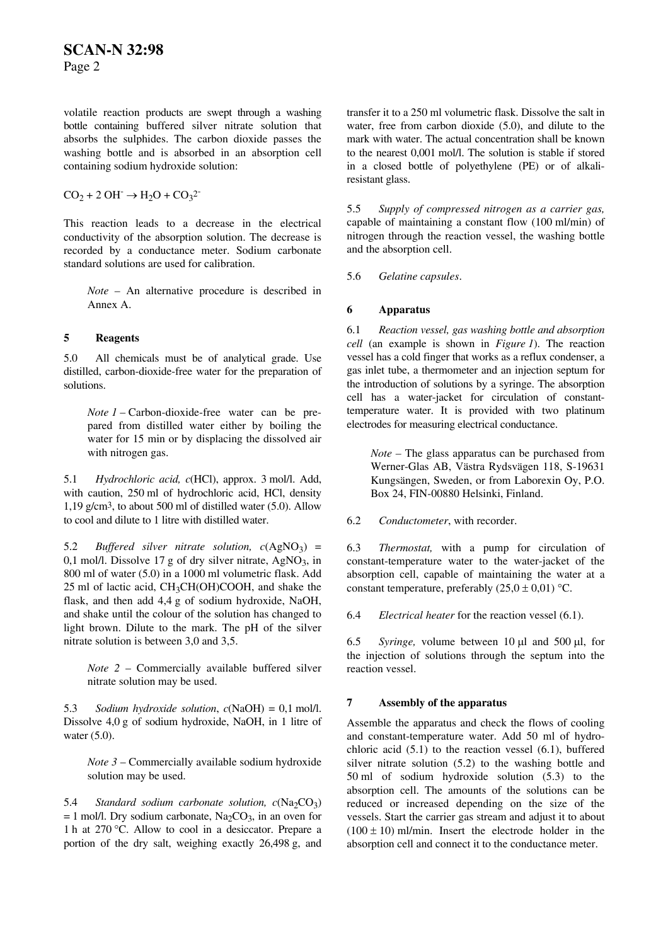volatile reaction products are swept through a washing bottle containing buffered silver nitrate solution that absorbs the sulphides. The carbon dioxide passes the washing bottle and is absorbed in an absorption cell containing sodium hydroxide solution:

 $CO<sub>2</sub> + 2 OH^- \rightarrow H<sub>2</sub>O + CO<sub>3</sub><sup>2</sup>$ 

This reaction leads to a decrease in the electrical conductivity of the absorption solution. The decrease is recorded by a conductance meter. Sodium carbonate standard solutions are used for calibration.

*Note* – An alternative procedure is described in Annex A.

# <span id="page-1-0"></span>**5 Reagents**

<span id="page-1-1"></span>[5.](#page-1-0)0 All chemicals must be of analytical grade. Use distilled, carbon-dioxide-free water for the preparation of solutions.

*Note 1* – Carbon-dioxide-free water can be prepared from distilled water either by boiling the water for 15 min or by displacing the dissolved air with nitrogen gas.

5.1 *Hydrochloric acid, c*(HCl), approx. 3 mol/l. Add, with caution, 250 ml of hydrochloric acid, HCl, density 1,19 g/cm3, to about 500 ml of distilled water [\(5.0\)](#page-1-1). Allow to cool and dilute to 1 litre with distilled water.

5.2 *Buffered silver nitrate solution,*  $c(AgNO_3)$  = 0,1 mol/l. Dissolve 17 g of dry silver nitrate,  $AgNO_3$ , in 800 ml of water ([5.0](#page-1-1)) in a 1000 ml volumetric flask. Add  $25$  ml of lactic acid,  $CH<sub>3</sub>CH(OH)COOH$ , and shake the flask, and then add 4,4 g of sodium hydroxide, NaOH, and shake until the colour of the solution has changed to light brown. Dilute to the mark. The pH of the silver nitrate solution is between 3,0 and 3,5.

*Note 2* – Commercially available buffered silver nitrate solution may be used.

5.3 *Sodium hydroxide solution*, *c*(NaOH) = 0,1 mol/l. Dissolve 4,0 g of sodium hydroxide, NaOH, in 1 litre of water [\(5.0](#page-1-1)).

*Note 3* – Commercially available sodium hydroxide solution may be used.

5.4 *Standard sodium carbonate solution,*  $c(Na_2CO_3)$  $= 1$  mol/l. Dry sodium carbonate, Na<sub>2</sub>CO<sub>3</sub>, in an oven for 1 h at 270 °C. Allow to cool in a desiccator. Prepare a portion of the dry salt, weighing exactly 26,498 g, and

transfer it to a 250 ml volumetric flask. Dissolve the salt in water, free from carbon dioxide ([5.0](#page-1-1)), and dilute to the mark with water. The actual concentration shall be known to the nearest 0,001 mol/l. The solution is stable if stored in a closed bottle of polyethylene (PE) or of alkaliresistant glass.

5.5 *Supply of compressed nitrogen as a carrier gas,*  capable of maintaining a constant flow (100 ml/min) of nitrogen through the reaction vessel, the washing bottle and the absorption cell.

5.6 *Gelatine capsules*.

# **6 Apparatus**

6.1 *Reaction vessel, gas washing bottle and absorption cell* (an example is shown in *Figure 1*). The reaction vessel has a cold finger that works as a reflux condenser, a gas inlet tube, a thermometer and an injection septum for the introduction of solutions by a syringe. The absorption cell has a water-jacket for circulation of constanttemperature water. It is provided with two platinum electrodes for measuring electrical conductance.

*Note –* The glass apparatus can be purchased from Werner-Glas AB, Västra Rydsvägen 118, S-19631 Kungsängen, Sweden, or from Laborexin Oy, P.O. Box 24, FIN-00880 Helsinki, Finland.

6.2 *Conductometer*, with recorder.

6.3 *Thermostat,* with a pump for circulation of constant-temperature water to the water-jacket of the absorption cell, capable of maintaining the water at a constant temperature, preferably  $(25.0 \pm 0.01)$  °C.

6.4 *Electrical heater* for the reaction vessel (6.1).

6.5 *Syringe,* volume between 10 μl and 500 μl, for the injection of solutions through the septum into the reaction vessel.

# **7 Assembly of the apparatus**

Assemble the apparatus and check the flows of cooling and constant-temperature water. Add 50 ml of hydrochloric acid (5.1) to the reaction vessel (6.1), buffered silver nitrate solution (5.2) to the washing bottle and 50 ml of sodium hydroxide solution (5.3) to the absorption cell. The amounts of the solutions can be reduced or increased depending on the size of the vessels. Start the carrier gas stream and adjust it to about  $(100 \pm 10)$  ml/min. Insert the electrode holder in the absorption cell and connect it to the conductance meter.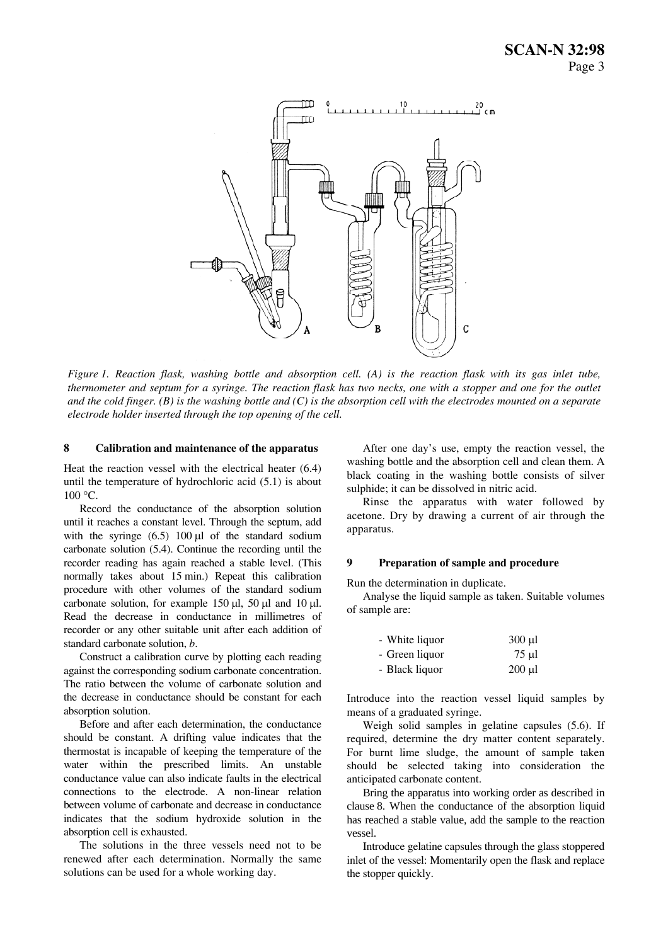

*Figure 1. Reaction flask, washing bottle and absorption cell. (A) is the reaction flask with its gas inlet tube, thermometer and septum for a syringe. The reaction flask has two necks, one with a stopper and one for the outlet and the cold finger. (B) is the washing bottle and (C) is the absorption cell with the electrodes mounted on a separate electrode holder inserted through the top opening of the cell.* 

#### **8 Calibration and maintenance of the apparatus**

Heat the reaction vessel with the electrical heater (6.4) until the temperature of hydrochloric acid (5.1) is about 100 °C.

Record the conductance of the absorption solution until it reaches a constant level. Through the septum, add with the syringe  $(6.5)$  100 μl of the standard sodium carbonate solution (5.4). Continue the recording until the recorder reading has again reached a stable level. (This normally takes about 15 min.) Repeat this calibration procedure with other volumes of the standard sodium carbonate solution, for example 150 μl, 50 μl and 10 μl. Read the decrease in conductance in millimetres of recorder or any other suitable unit after each addition of standard carbonate solution, *b*.

Construct a calibration curve by plotting each reading against the corresponding sodium carbonate concentration. The ratio between the volume of carbonate solution and the decrease in conductance should be constant for each absorption solution.

Before and after each determination, the conductance should be constant. A drifting value indicates that the thermostat is incapable of keeping the temperature of the water within the prescribed limits. An unstable conductance value can also indicate faults in the electrical connections to the electrode. A non-linear relation between volume of carbonate and decrease in conductance indicates that the sodium hydroxide solution in the absorption cell is exhausted.

The solutions in the three vessels need not to be renewed after each determination. Normally the same solutions can be used for a whole working day.

After one day's use, empty the reaction vessel, the washing bottle and the absorption cell and clean them. A black coating in the washing bottle consists of silver sulphide; it can be dissolved in nitric acid.

Rinse the apparatus with water followed by acetone. Dry by drawing a current of air through the apparatus.

### **9 Preparation of sample and procedure**

Run the determination in duplicate.

Analyse the liquid sample as taken. Suitable volumes of sample are:

| - White liquor | $300$ ul    |
|----------------|-------------|
| - Green liquor | 75 µl       |
| - Black liquor | $200 \mu l$ |

Introduce into the reaction vessel liquid samples by means of a graduated syringe.

Weigh solid samples in gelatine capsules (5.6). If required, determine the dry matter content separately. For burnt lime sludge, the amount of sample taken should be selected taking into consideration the anticipated carbonate content.

Bring the apparatus into working order as described in clause 8. When the conductance of the absorption liquid has reached a stable value, add the sample to the reaction vessel.

Introduce gelatine capsules through the glass stoppered inlet of the vessel: Momentarily open the flask and replace the stopper quickly.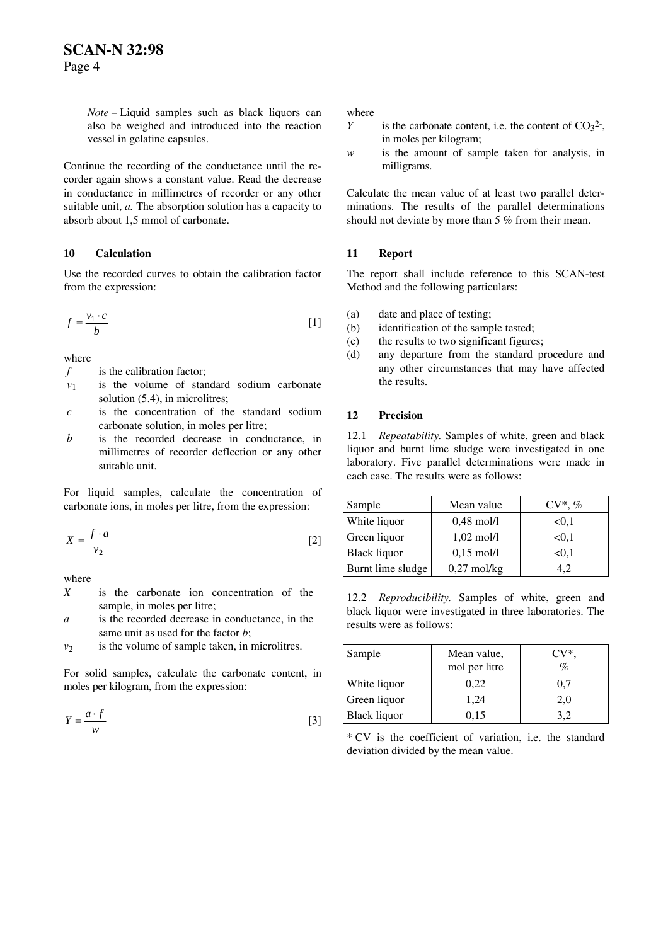*Note –* Liquid samples such as black liquors can also be weighed and introduced into the reaction vessel in gelatine capsules.

Continue the recording of the conductance until the recorder again shows a constant value. Read the decrease in conductance in millimetres of recorder or any other suitable unit, *a*. The absorption solution has a capacity to absorb about 1,5 mmol of carbonate.

# **10 Calculation**

Use the recorded curves to obtain the calibration factor from the expression:

$$
f = \frac{v_1 \cdot c}{b} \tag{1}
$$

where

- *f* is the calibration factor;
- $v_1$  is the volume of standard sodium carbonate solution (5.4), in microlitres;
- *c* is the concentration of the standard sodium carbonate solution, in moles per litre;
- *b* is the recorded decrease in conductance, in millimetres of recorder deflection or any other suitable unit.

For liquid samples, calculate the concentration of carbonate ions, in moles per litre, from the expression:

$$
X = \frac{f \cdot a}{v_2} \tag{2}
$$

where

- *X* is the carbonate ion concentration of the sample, in moles per litre;
- *a* is the recorded decrease in conductance, in the same unit as used for the factor *b*;
- $v_2$  is the volume of sample taken, in microlitres.

For solid samples, calculate the carbonate content, in moles per kilogram, from the expression:

$$
Y = \frac{a \cdot f}{w} \tag{3}
$$

where

- is the carbonate content, i.e. the content of  $CO<sub>3</sub><sup>2</sup>$ , in moles per kilogram; *Y*
- is the amount of sample taken for analysis, in milligrams. *w*

Calculate the mean value of at least two parallel determinations. The results of the parallel determinations should not deviate by more than 5 % from their mean.

# **11 Report**

The report shall include reference to this SCAN-test Method and the following particulars:

- (a) date and place of testing;
- (b) identification of the sample tested;
- (c) the results to two significant figures;
- (d) any departure from the standard procedure and any other circumstances that may have affected the results.

# **12 Precision**

12.1 *Repeatability.* Samples of white, green and black liquor and burnt lime sludge were investigated in one laboratory. Five parallel determinations were made in each case. The results were as follows:

| Sample              | Mean value           | $CV^*, \%$ |
|---------------------|----------------------|------------|
| White liquor        | $0.48$ mol/l         | < 0.1      |
| Green liquor        | $1,02 \text{ mol/l}$ | < 0.1      |
| <b>Black liquor</b> | $0.15$ mol/l         | < 0.1      |
| Burnt lime sludge   | $0,27$ mol/kg        |            |

12.2 *Reproducibility.* Samples of white, green and black liquor were investigated in three laboratories. The results were as follows:

| Sample              | Mean value,<br>mol per litre | CV*.<br>$\mathcal{O}_0$ |
|---------------------|------------------------------|-------------------------|
| White liquor        | 0,22                         | 0,7                     |
| Green liquor        | 1,24                         | 2,0                     |
| <b>Black liquor</b> | 0.15                         |                         |

\* CV is the coefficient of variation, i.e. the standard deviation divided by the mean value.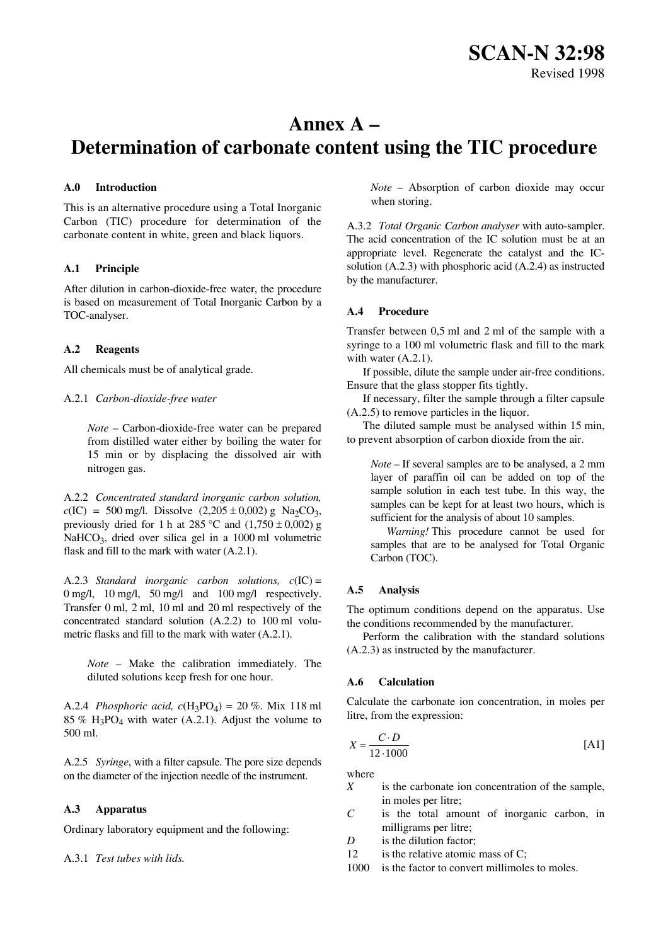**SCAN-N 32:98**  Revised 1998

# **Annex A – Determination of carbonate content using the TIC procedure**

#### **A.0 Introduction**

This is an alternative procedure using a Total Inorganic Carbon (TIC) procedure for determination of the carbonate content in white, green and black liquors.

#### **A.1 Principle**

After dilution in carbon-dioxide-free water, the procedure is based on measurement of Total Inorganic Carbon by a TOC-analyser.

#### **A.2 Reagents**

All chemicals must be of analytical grade.

#### A.2.1 *Carbon-dioxide-free water*

*Note* – Carbon-dioxide-free water can be prepared from distilled water either by boiling the water for 15 min or by displacing the dissolved air with nitrogen gas.

A.2.2 *Concentrated standard inorganic carbon solution,*   $c(IC) = 500$  mg/l. Dissolve  $(2,205 \pm 0,002)$  g Na<sub>2</sub>CO<sub>3</sub>, previously dried for 1 h at 285 °C and  $(1,750 \pm 0,002)$  g NaHCO<sub>3</sub>, dried over silica gel in a 1000 ml volumetric flask and fill to the mark with water (A.2.1).

A.2.3 *Standard inorganic carbon solutions, c*(IC) = 0 mg/l, 10 mg/l, 50 mg/l and 100 mg/l respectively. Transfer 0 ml, 2 ml, 10 ml and 20 ml respectively of the concentrated standard solution (A.2.2) to 100 ml volumetric flasks and fill to the mark with water (A.2.1).

*Note –* Make the calibration immediately. The diluted solutions keep fresh for one hour.

A.2.4 *Phosphoric acid, c*(H3PO4) = 20 %. Mix 118 ml 85 %  $H_3PO_4$  with water (A.2.1). Adjust the volume to 500 ml.

A.2.5 *Syringe*, with a filter capsule. The pore size depends on the diameter of the injection needle of the instrument.

#### **A.3 Apparatus**

Ordinary laboratory equipment and the following:

A.3.1 *Test tubes with lids.*

*Note –* Absorption of carbon dioxide may occur when storing.

A.3.2 *Total Organic Carbon analyser* with auto-sampler. The acid concentration of the IC solution must be at an appropriate level. Regenerate the catalyst and the ICsolution (A.2.3) with phosphoric acid (A.2.4) as instructed by the manufacturer.

# **A.4 Procedure**

Transfer between 0,5 ml and 2 ml of the sample with a syringe to a 100 ml volumetric flask and fill to the mark with water  $(A.2.1)$ .

If possible, dilute the sample under air-free conditions. Ensure that the glass stopper fits tightly.

If necessary, filter the sample through a filter capsule  $(A.2.5)$  to remove particles in the liquor.

The diluted sample must be analysed within 15 min, to prevent absorption of carbon dioxide from the air.

*Note –* If several samples are to be analysed, a 2 mm layer of paraffin oil can be added on top of the sample solution in each test tube. In this way, the samples can be kept for at least two hours, which is sufficient for the analysis of about 10 samples.

*Warning!* This procedure cannot be used for samples that are to be analysed for Total Organic Carbon (TOC).

#### **A.5 Analysis**

The optimum conditions depend on the apparatus. Use the conditions recommended by the manufacturer.

Perform the calibration with the standard solutions (A.2.3) as instructed by the manufacturer.

#### **A.6 Calculation**

Calculate the carbonate ion concentration, in moles per litre, from the expression:

$$
X = \frac{C \cdot D}{12 \cdot 1000} \tag{A1}
$$

where

- *X* is the carbonate ion concentration of the sample, in moles per litre;
- *C* is the total amount of inorganic carbon, in milligrams per litre;
- *D* is the dilution factor;
- 12 is the relative atomic mass of C;
- 1000 is the factor to convert millimoles to moles.